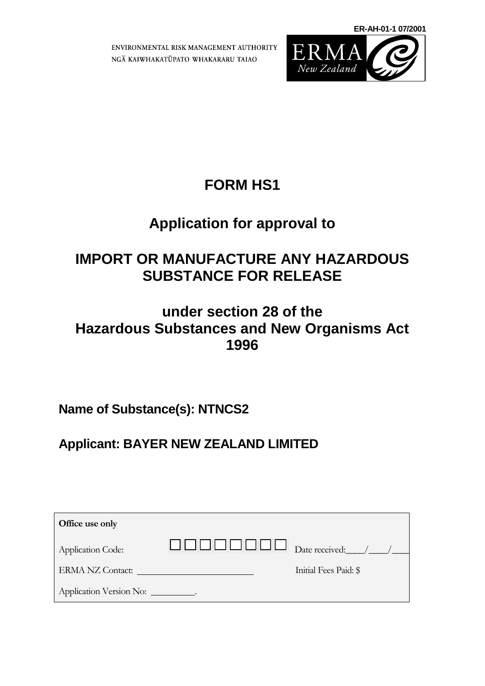**ER-AH-01-1 07/2001**

ENVIRONMENTAL RISK MANAGEMENT AUTHORITY NGA KAIWHAKATUPATO WHAKARARU TAIAO



# **FORM HS1**

# **Application for approval to**

# **IMPORT OR MANUFACTURE ANY HAZARDOUS SUBSTANCE FOR RELEASE**

# **under section 28 of the Hazardous Substances and New Organisms Act 1996**

**Name of Substance(s): NTNCS2**

**Applicant: BAYER NEW ZEALAND LIMITED**

| Office use only          |         |                       |
|--------------------------|---------|-----------------------|
| <b>Application Code:</b> | UUUUUUU | Date received:        |
| ERMA NZ Contact:         |         | Initial Fees Paid: \$ |
| Application Version No:  |         |                       |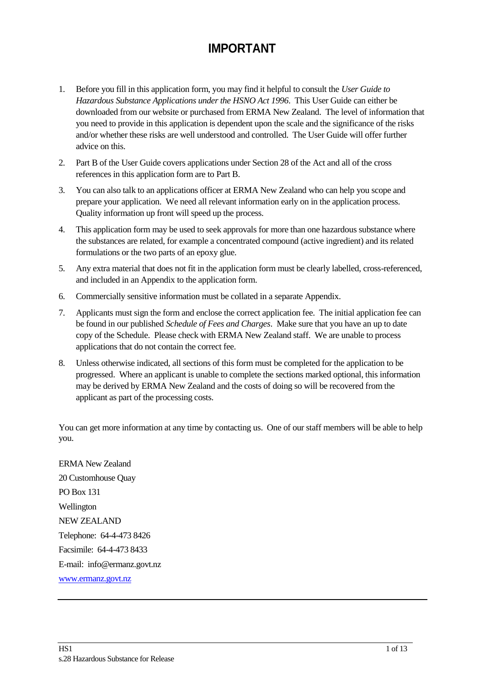# **IMPORTANT**

- 1. Before you fill in this application form, you may find it helpful to consult the *User Guide to Hazardous Substance Applications under the HSNO Act 1996*. This User Guide can either be downloaded from our website or purchased from ERMA New Zealand. The level of information that you need to provide in this application is dependent upon the scale and the significance of the risks and/or whether these risks are well understood and controlled. The User Guide will offer further advice on this.
- 2. Part B of the User Guide covers applications under Section 28 of the Act and all of the cross references in this application form are to Part B.
- 3. You can also talk to an applications officer at ERMA New Zealand who can help you scope and prepare your application. We need all relevant information early on in the application process. Quality information up front will speed up the process.
- 4. This application form may be used to seek approvals for more than one hazardous substance where the substances are related, for example a concentrated compound (active ingredient) and its related formulations or the two parts of an epoxy glue.
- 5. Any extra material that does not fit in the application form must be clearly labelled, cross-referenced, and included in an Appendix to the application form.
- 6. Commercially sensitive information must be collated in a separate Appendix.
- 7. Applicants must sign the form and enclose the correct application fee. The initial application fee can be found in our published *Schedule of Fees and Charges*. Make sure that you have an up to date copy of the Schedule. Please check with ERMA New Zealand staff. We are unable to process applications that do not contain the correct fee.
- 8. Unless otherwise indicated, all sections of this form must be completed for the application to be progressed. Where an applicant is unable to complete the sections marked optional, this information may be derived by ERMA New Zealand and the costs of doing so will be recovered from the applicant as part of the processing costs.

You can get more information at any time by contacting us. One of our staff members will be able to help you.

ERMA New Zealand 20 Customhouse Quay PO Box 131 Wellington NEW ZEALAND Telephone: 64-4-473 8426 Facsimile: 64-4-473 8433 E-mail: [info@ermanz.govt.nz](mailto:info@ermanz.govt.nz) [www.ermanz.govt.nz](http://www.ermanz.govt.nz/)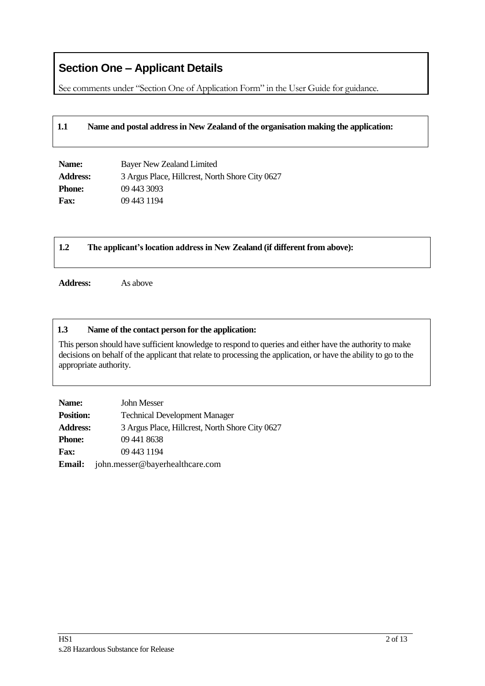# **Section One – Applicant Details**

See comments under "Section One of Application Form" in the User Guide for guidance.

#### **1.1 Name and postal address in New Zealand of the organisation making the application:**

| Name:           | Bayer New Zealand Limited                       |
|-----------------|-------------------------------------------------|
| <b>Address:</b> | 3 Argus Place, Hillcrest, North Shore City 0627 |
| <b>Phone:</b>   | 09 443 3093                                     |
| <b>Fax:</b>     | 09 443 1194                                     |

# **1.2 The applicant's location address in New Zealand (if different from above):**

**Address:** As above

## **1.3 Name of the contact person for the application:**

This person should have sufficient knowledge to respond to queries and either have the authority to make decisions on behalf of the applicant that relate to processing the application, or have the ability to go to the appropriate authority.

| Name:            | John Messer                                     |
|------------------|-------------------------------------------------|
| <b>Position:</b> | <b>Technical Development Manager</b>            |
| <b>Address:</b>  | 3 Argus Place, Hillcrest, North Shore City 0627 |
| <b>Phone:</b>    | 09 441 8638                                     |
| <b>Fax:</b>      | 09 443 1194                                     |
| <b>Email:</b>    | john.messer@bayerhealthcare.com                 |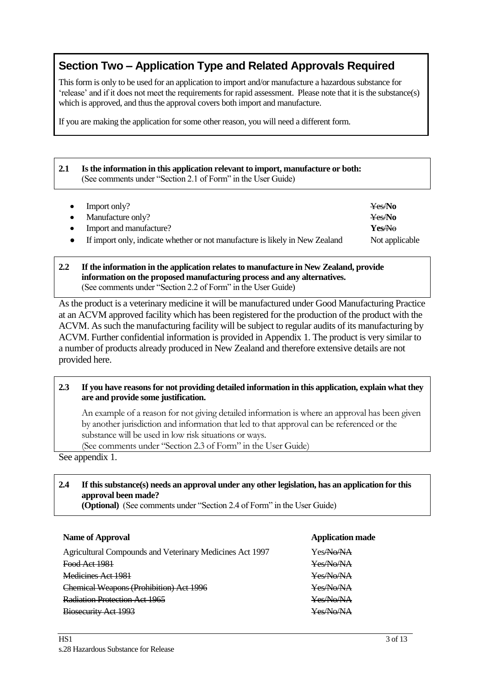# **Section Two – Application Type and Related Approvals Required**

This form is only to be used for an application to import and/or manufacture a hazardous substance for 'release' and if it does not meet the requirements for rapid assessment. Please note that it is the substance(s) which is approved, and thus the approval covers both import and manufacture.

If you are making the application for some other reason, you will need a different form.

**2.1 Is the information in this application relevant to import, manufacture or both:** (See comments under "Section 2.1 of Form" in the User Guide)

| Import only?                                                                 | Yes/No         |
|------------------------------------------------------------------------------|----------------|
| Manufacture only?                                                            | Yes/No         |
| Import and manufacture?                                                      | Yes/No         |
| If import only, indicate whether or not manufacture is likely in New Zealand | Not applicable |

#### **2.2 If the information in the application relates to manufacture in New Zealand, provide information on the proposed manufacturing process and any alternatives.** (See comments under "Section 2.2 of Form" in the User Guide)

As the product is a veterinary medicine it will be manufactured under Good Manufacturing Practice at an ACVM approved facility which has been registered for the production of the product with the ACVM. As such the manufacturing facility will be subject to regular audits of its manufacturing by ACVM. Further confidential information is provided in Appendix 1. The product is very similar to a number of products already produced in New Zealand and therefore extensive details are not provided here.

# **2.3 If you have reasons for not providing detailed information in this application, explain what they are and provide some justification.**

An example of a reason for not giving detailed information is where an approval has been given by another jurisdiction and information that led to that approval can be referenced or the substance will be used in low risk situations or ways.

(See comments under "Section 2.3 of Form" in the User Guide)

See appendix 1.

# **2.4 If this substance(s) needs an approval under any other legislation, has an application for this approval been made?**

**(Optional)** (See comments under "Section 2.4 of Form" in the User Guide)

# **Name of Approval Application made Application made Application made**

Agricultural Compounds and Veterinary Medicines Act 1997 YesANONA Food Act 1981 Yes/No/NA Medicines Act 1981 Yes/No/NA Chemical Weapons (Prohibition) Act 1996 Yes/No/NA Radiation Protection Act 1965 Yes/No/NA Biosecurity Act 1993 Yes/No/NA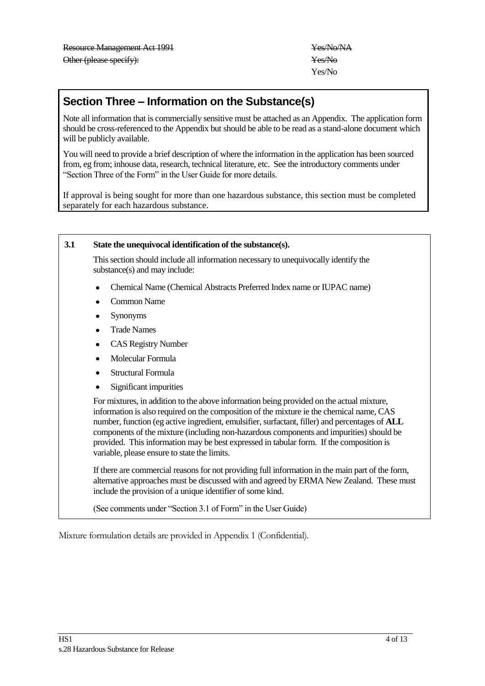# **Section Three – Information on the Substance(s)**

Note all information that is commercially sensitive must be attached as an Appendix. The application form should be cross-referenced to the Appendix but should be able to be read as a stand-alone document which will be publicly available.

You will need to provide a brief description of where the information in the application has been sourced from, eg from; inhouse data, research, technical literature, etc. See the introductory comments under "Section Three of the Form" in the User Guide for more details.

If approval is being sought for more than one hazardous substance, this section must be completed separately for each hazardous substance.

## **3.1 State the unequivocal identification of the substance(s).**

This section should include all information necessary to unequivocally identify the substance(s) and may include:

- Chemical Name (Chemical Abstracts Preferred Index name or IUPAC name)
- Common Name
- Synonyms
- Trade Names
- CAS Registry Number
- Molecular Formula
- Structural Formula
- Significant impurities

For mixtures, in addition to the above information being provided on the actual mixture, information is also required on the composition of the mixture ie the chemical name, CAS number, function (eg active ingredient, emulsifier, surfactant, filler) and percentages of **ALL** components of the mixture (including non-hazardous components and impurities) should be provided. This information may be best expressed in tabular form. If the composition is variable, please ensure to state the limits.

If there are commercial reasons for not providing full information in the main part of the form, alternative approaches must be discussed with and agreed by ERMA New Zealand. These must include the provision of a unique identifier of some kind.

(See comments under "Section 3.1 of Form" in the User Guide)

Mixture formulation details are provided in Appendix 1 (Confidential).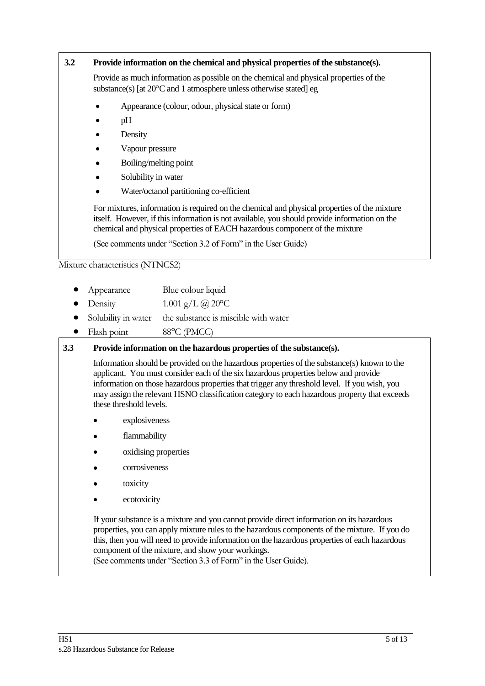## **3.2 Provide information on the chemical and physical properties of the substance(s).**

Provide as much information as possible on the chemical and physical properties of the substance(s) [at  $20^{\circ}$ C and 1 atmosphere unless otherwise stated] eg

- Appearance (colour, odour, physical state or form)
- pH
- Density
- Vapour pressure
- Boiling/melting point
- Solubility in water
- Water/octanol partitioning co-efficient

For mixtures, information is required on the chemical and physical properties of the mixture itself. However, if this information is not available, you should provide information on the chemical and physical properties of EACH hazardous component of the mixture

(See comments under "Section 3.2 of Form" in the User Guide)

Mixture characteristics (NTNCS2)

- Appearance Blue colour liquid
- Density  $1.001 \text{ g/L} \text{ (}a\text{)}\text{ }20^{\circ}\text{C}$
- Solubility in water the substance is miscible with water  $\bullet$
- Flash point  $88^{\circ}$ C (PMCC)

## **3.3 Provide information on the hazardous properties of the substance(s).**

Information should be provided on the hazardous properties of the substance(s) known to the applicant. You must consider each of the six hazardous properties below and provide information on those hazardous properties that trigger any threshold level. If you wish, you may assign the relevant HSNO classification category to each hazardous property that exceeds these threshold levels.

- explosiveness
- flammability
- oxidising properties
- corrosiveness
- toxicity
- ecotoxicity

If your substance is a mixture and you cannot provide direct information on its hazardous properties, you can apply mixture rules to the hazardous components of the mixture. If you do this, then you will need to provide information on the hazardous properties of each hazardous component of the mixture, and show your workings.

(See comments under "Section 3.3 of Form" in the User Guide).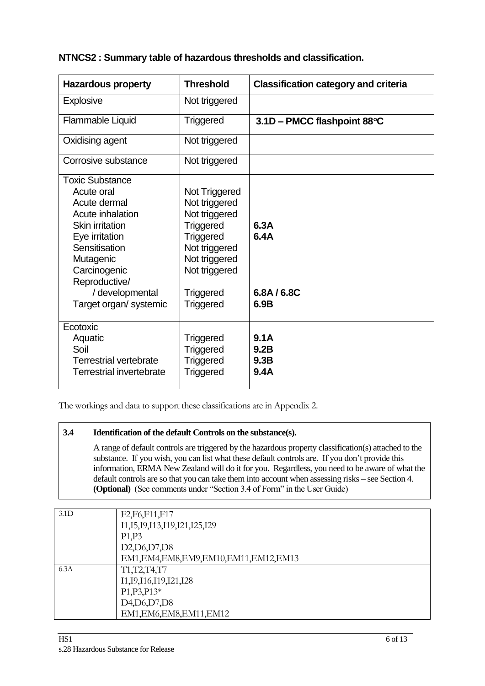| NTNCS2: Summary table of hazardous thresholds and classification. |
|-------------------------------------------------------------------|
|                                                                   |

| <b>Hazardous property</b>                                                                                                                                                                                                        | <b>Threshold</b>                                                                                                                                                                   | <b>Classification category and criteria</b> |
|----------------------------------------------------------------------------------------------------------------------------------------------------------------------------------------------------------------------------------|------------------------------------------------------------------------------------------------------------------------------------------------------------------------------------|---------------------------------------------|
| Explosive                                                                                                                                                                                                                        | Not triggered                                                                                                                                                                      |                                             |
| Flammable Liquid                                                                                                                                                                                                                 | Triggered                                                                                                                                                                          | 3.1D - PMCC flashpoint 88°C                 |
| Oxidising agent                                                                                                                                                                                                                  | Not triggered                                                                                                                                                                      |                                             |
| Corrosive substance                                                                                                                                                                                                              | Not triggered                                                                                                                                                                      |                                             |
| <b>Toxic Substance</b><br>Acute oral<br>Acute dermal<br>Acute inhalation<br><b>Skin irritation</b><br>Eye irritation<br>Sensitisation<br>Mutagenic<br>Carcinogenic<br>Reproductive/<br>/ developmental<br>Target organ/ systemic | Not Triggered<br>Not triggered<br>Not triggered<br><b>Triggered</b><br><b>Triggered</b><br>Not triggered<br>Not triggered<br>Not triggered<br><b>Triggered</b><br><b>Triggered</b> | 6.3A<br>6.4A<br>6.8A/6.8C<br>6.9B           |
| Ecotoxic<br>Aquatic<br>Soil<br><b>Terrestrial vertebrate</b><br><b>Terrestrial invertebrate</b>                                                                                                                                  | <b>Triggered</b><br><b>Triggered</b><br><b>Triggered</b><br><b>Triggered</b>                                                                                                       | 9.1A<br>9.2B<br>9.3B<br>9.4A                |

The workings and data to support these classifications are in Appendix 2.

# **3.4 Identification of the default Controls on the substance(s).**

A range of default controls are triggered by the hazardous property classification(s) attached to the substance. If you wish, you can list what these default controls are. If you don"t provide this information, ERMA New Zealand will do it for you. Regardless, you need to be aware of what the default controls are so that you can take them into account when assessing risks – see Section 4. **(Optional)** (See comments under "Section 3.4 of Form" in the User Guide)

| 3.1D | F <sub>2</sub> ,F <sub>6</sub> ,F <sub>11</sub> ,F <sub>17</sub>  |
|------|-------------------------------------------------------------------|
|      | 11, 15, 19, 113, 119, 121, 125, 129                               |
|      | P1, P3                                                            |
|      | D2, D6, D7, D8                                                    |
|      | EM1, EM4, EM8, EM9, EM10, EM11, EM12, EM13                        |
| 6.3A | T1, T2, T4, T7                                                    |
|      | I1, I9, I16, I19, I21, I28                                        |
|      | $P1, P3, P13*$                                                    |
|      | D <sub>4</sub> , D <sub>6</sub> , D <sub>7</sub> , D <sub>8</sub> |
|      | EM1, EM6, EM8, EM11, EM12                                         |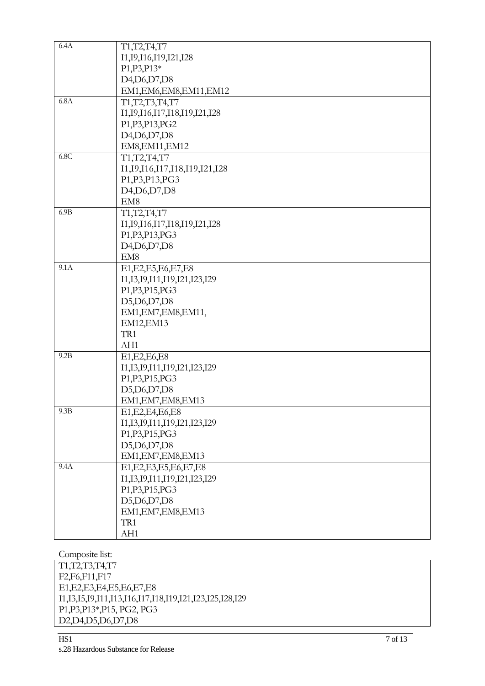| 6.4A | T1, T2, T4, T7                                                    |
|------|-------------------------------------------------------------------|
|      | I1, I9, I16, I19, I21, I28                                        |
|      | P <sub>1</sub> , P <sub>3</sub> , P <sub>13</sub> *               |
|      | D <sub>4</sub> , D <sub>6</sub> , D <sub>7</sub> , D <sub>8</sub> |
|      | EM1, EM6, EM8, EM11, EM12                                         |
| 6.8A | T1, T2, T3, T4, T7                                                |
|      | 11, 19, 116, 117, 118, 119, 121, 128                              |
|      | P1, P3, P13, PG2                                                  |
|      | D <sub>4</sub> ,D <sub>6</sub> ,D <sub>7</sub> ,D <sub>8</sub>    |
|      | EM8, EM11, EM12                                                   |
| 6.8C | T1, T2, T4, T7                                                    |
|      | 11, 19, 116, 117, 118, 119, 121, 128                              |
|      | P1, P3, P13, PG3                                                  |
|      | D <sub>4</sub> , D <sub>6</sub> , D <sub>7</sub> , D <sub>8</sub> |
|      | EM <sub>8</sub>                                                   |
| 6.9B | T1, T2, T4, T7                                                    |
|      | 11, 19, 116, 117, 118, 119, 121, 128                              |
|      | P1, P3, P13, PG3                                                  |
|      | D <sub>4</sub> , D <sub>6</sub> , D <sub>7</sub> , D <sub>8</sub> |
|      | EM8                                                               |
| 9.1A | E1, E2, E5, E6, E7, E8                                            |
|      | 11, 13, 19, 11, 119, 121, 123, 129                                |
|      | P1, P3, P15, PG3                                                  |
|      | D5,D6,D7,D8                                                       |
|      | EM1, EM7, EM8, EM11,                                              |
|      | EM12, EM13                                                        |
|      | TR1                                                               |
|      | AH1                                                               |
| 9.2B | E1, E2, E6, E8                                                    |
|      | 11, 13, 19, 11, 119, 121, 123, 129                                |
|      | P1, P3, P15, PG3                                                  |
|      | D5,D6,D7,D8                                                       |
|      | EM1, EM7, EM8, EM13                                               |
| 9.3B | E1, E2, E4, E6, E8                                                |
|      | 11, I3, I9, I11, I19, I21, I23, I29                               |
|      | P1, P3, P15, PG3                                                  |
|      | D5,D6,D7,D8                                                       |
|      | EM1, EM7, EM8, EM13                                               |
| 9.4A | E1, E2, E3, E5, E6, E7, E8                                        |
|      | 11, 13, 19, 11, 119, 121, 123, 129                                |
|      | P1, P3, P15, PG3                                                  |
|      | D5,D6,D7,D8                                                       |
|      | EM1, EM7, EM8, EM13                                               |
|      | TR1                                                               |
|      | AH1                                                               |

Composite list:

T1,T2,T3,T4,T7 F2,F6,F11,F17 E1,E2,E3,E4,E5,E6,E7,E8 I1,I3,I5,I9,I11,I13,I16,I17,I18,I19,I21,I23,I25,I28,I29 P1,P3,P13\*,P15, PG2, PG3 D2,D4,D5,D6,D7,D8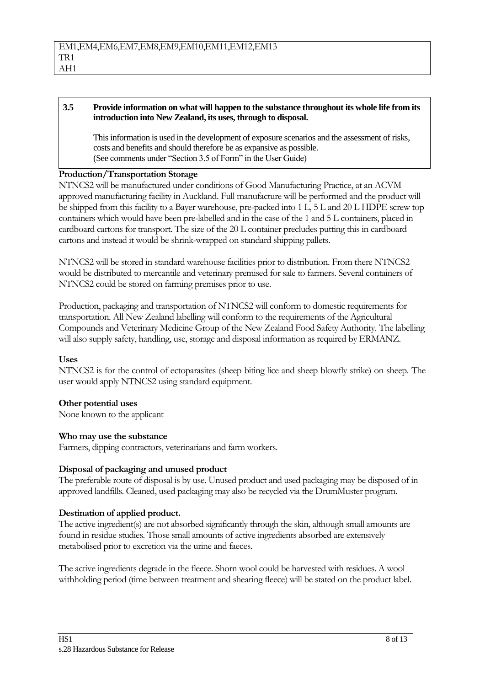# **3.5 Provide information on what will happen to the substance throughout its whole life from its introduction into New Zealand, its uses, through to disposal.**

This information is used in the development of exposure scenarios and the assessment of risks, costs and benefits and should therefore be as expansive as possible. (See comments under "Section 3.5 of Form" in the User Guide)

## **Production/Transportation Storage**

NTNCS2 will be manufactured under conditions of Good Manufacturing Practice, at an ACVM approved manufacturing facility in Auckland. Full manufacture will be performed and the product will be shipped from this facility to a Bayer warehouse, pre-packed into 1 L, 5 L and 20 L HDPE screw top containers which would have been pre-labelled and in the case of the 1 and 5 L containers, placed in cardboard cartons for transport. The size of the 20 L container precludes putting this in cardboard cartons and instead it would be shrink-wrapped on standard shipping pallets.

NTNCS2 will be stored in standard warehouse facilities prior to distribution. From there NTNCS2 would be distributed to mercantile and veterinary premised for sale to farmers. Several containers of NTNCS2 could be stored on farming premises prior to use.

Production, packaging and transportation of NTNCS2 will conform to domestic requirements for transportation. All New Zealand labelling will conform to the requirements of the Agricultural Compounds and Veterinary Medicine Group of the New Zealand Food Safety Authority. The labelling will also supply safety, handling, use, storage and disposal information as required by ERMANZ.

## **Uses**

NTNCS2 is for the control of ectoparasites (sheep biting lice and sheep blowfly strike) on sheep. The user would apply NTNCS2 using standard equipment.

# **Other potential uses**

None known to the applicant

# **Who may use the substance**

Farmers, dipping contractors, veterinarians and farm workers.

## **Disposal of packaging and unused product**

The preferable route of disposal is by use. Unused product and used packaging may be disposed of in approved landfills. Cleaned, used packaging may also be recycled via the DrumMuster program.

# **Destination of applied product.**

The active ingredient(s) are not absorbed significantly through the skin, although small amounts are found in residue studies. Those small amounts of active ingredients absorbed are extensively metabolised prior to excretion via the urine and faeces.

The active ingredients degrade in the fleece. Shorn wool could be harvested with residues. A wool withholding period (time between treatment and shearing fleece) will be stated on the product label.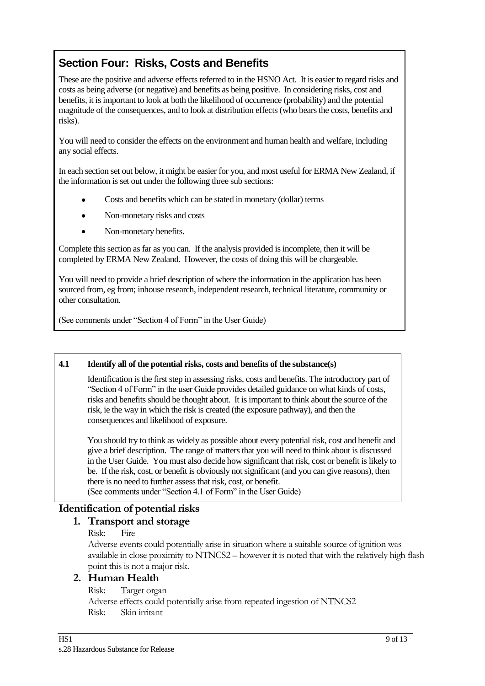# **Section Four: Risks, Costs and Benefits**

These are the positive and adverse effects referred to in the HSNO Act. It is easier to regard risks and costs as being adverse (or negative) and benefits as being positive. In considering risks, cost and benefits, it is important to look at both the likelihood of occurrence (probability) and the potential magnitude of the consequences, and to look at distribution effects (who bears the costs, benefits and risks).

You will need to consider the effects on the environment and human health and welfare, including any social effects.

In each section set out below, it might be easier for you, and most useful for ERMA New Zealand, if the information is set out under the following three sub sections:

- Costs and benefits which can be stated in monetary (dollar) terms
- $\bullet$ Non-monetary risks and costs
- Non-monetary benefits.

Complete this section as far as you can. If the analysis provided is incomplete, then it will be completed by ERMA New Zealand. However, the costs of doing this will be chargeable.

You will need to provide a brief description of where the information in the application has been sourced from, eg from; inhouse research, independent research, technical literature, community or other consultation.

(See comments under "Section 4 of Form" in the User Guide)

## **4.1 Identify all of the potential risks, costs and benefits of the substance(s)**

Identification is the first step in assessing risks, costs and benefits. The introductory part of "Section 4 of Form" in the user Guide provides detailed guidance on what kinds of costs, risks and benefits should be thought about. It is important to think about the source of the risk, ie the way in which the risk is created (the exposure pathway), and then the consequences and likelihood of exposure.

You should try to think as widely as possible about every potential risk, cost and benefit and give a brief description. The range of matters that you will need to think about is discussed in the User Guide. You must also decide how significant that risk, cost or benefit is likely to be. If the risk, cost, or benefit is obviously not significant (and you can give reasons), then there is no need to further assess that risk, cost, or benefit. (See comments under "Section 4.1 of Form" in the User Guide)

# **Identification of potential risks**

# **1. Transport and storage**

Risk: Fire

Adverse events could potentially arise in situation where a suitable source of ignition was available in close proximity to NTNCS2 – however it is noted that with the relatively high flash point this is not a major risk.

# **2. Human Health**

Risk: Target organ Adverse effects could potentially arise from repeated ingestion of NTNCS2 Risk: Skin irritant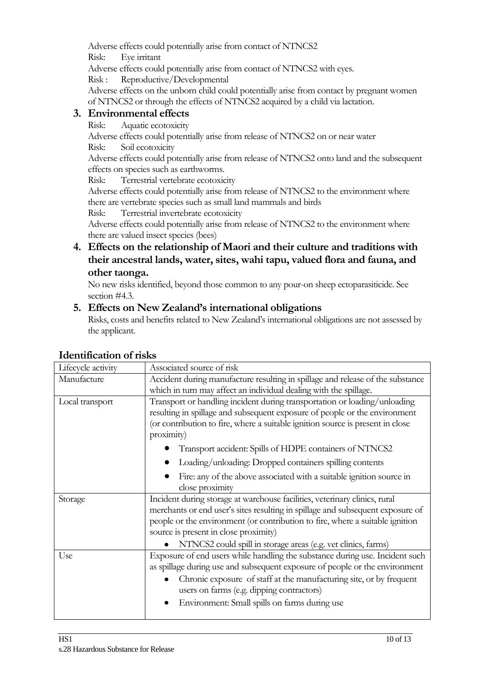Adverse effects could potentially arise from contact of NTNCS2 Risk: Eye irritant Adverse effects could potentially arise from contact of NTNCS2 with eyes. Risk : Reproductive/Developmental Adverse effects on the unborn child could potentially arise from contact by pregnant women of NTNCS2 or through the effects of NTNCS2 acquired by a child via lactation.

# **3. Environmental effects**

Risk: Aquatic ecotoxicity

Adverse effects could potentially arise from release of NTNCS2 on or near water Risk: Soil ecotoxicity

Adverse effects could potentially arise from release of NTNCS2 onto land and the subsequent effects on species such as earthworms.

Risk: Terrestrial vertebrate ecotoxicity

Adverse effects could potentially arise from release of NTNCS2 to the environment where there are vertebrate species such as small land mammals and birds

Risk: Terrestrial invertebrate ecotoxicity

Adverse effects could potentially arise from release of NTNCS2 to the environment where there are valued insect species (bees)

**4. Effects on the relationship of Maori and their culture and traditions with their ancestral lands, water, sites, wahi tapu, valued flora and fauna, and other taonga.**

No new risks identified, beyond those common to any pour-on sheep ectoparasiticide. See section #4.3.

# **5. Effects on New Zealand's international obligations**

Risks, costs and benefits related to New Zealand"s international obligations are not assessed by the applicant.

| Lifecycle activity | Associated source of risk                                                                                                                                                                                                                                                                                                        |
|--------------------|----------------------------------------------------------------------------------------------------------------------------------------------------------------------------------------------------------------------------------------------------------------------------------------------------------------------------------|
| Manufacture        | Accident during manufacture resulting in spillage and release of the substance                                                                                                                                                                                                                                                   |
|                    | which in turn may affect an individual dealing with the spillage.                                                                                                                                                                                                                                                                |
| Local transport    | Transport or handling incident during transportation or loading/unloading<br>resulting in spillage and subsequent exposure of people or the environment<br>(or contribution to fire, where a suitable ignition source is present in close<br>proximity)                                                                          |
|                    | Transport accident: Spills of HDPE containers of NTNCS2                                                                                                                                                                                                                                                                          |
|                    | Loading/unloading: Dropped containers spilling contents                                                                                                                                                                                                                                                                          |
|                    | Fire: any of the above associated with a suitable ignition source in<br>close proximity                                                                                                                                                                                                                                          |
| Storage            | Incident during storage at warehouse facilities, veterinary clinics, rural<br>merchants or end user's sites resulting in spillage and subsequent exposure of<br>people or the environment (or contribution to fire, where a suitable ignition<br>source is present in close proximity)                                           |
|                    | NTNCS2 could spill in storage areas (e.g. vet clinics, farms)                                                                                                                                                                                                                                                                    |
| Use                | Exposure of end users while handling the substance during use. Incident such<br>as spillage during use and subsequent exposure of people or the environment<br>Chronic exposure of staff at the manufacturing site, or by frequent<br>users on farms (e.g. dipping contractors)<br>Environment: Small spills on farms during use |

# **Identification of risks**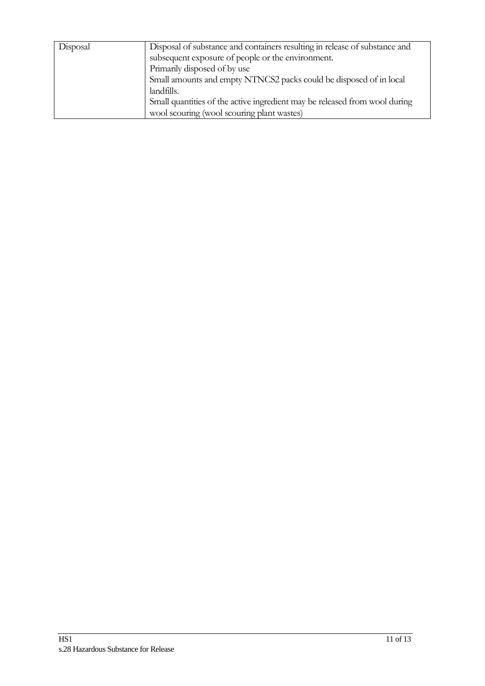| Disposal | Disposal of substance and containers resulting in release of substance and |
|----------|----------------------------------------------------------------------------|
|          | subsequent exposure of people or the environment.                          |
|          | Primarily disposed of by use                                               |
|          | Small amounts and empty NTNCS2 packs could be disposed of in local         |
|          | landfills.                                                                 |
|          | Small quantities of the active ingredient may be released from wool during |
|          | wool scouring (wool scouring plant wastes)                                 |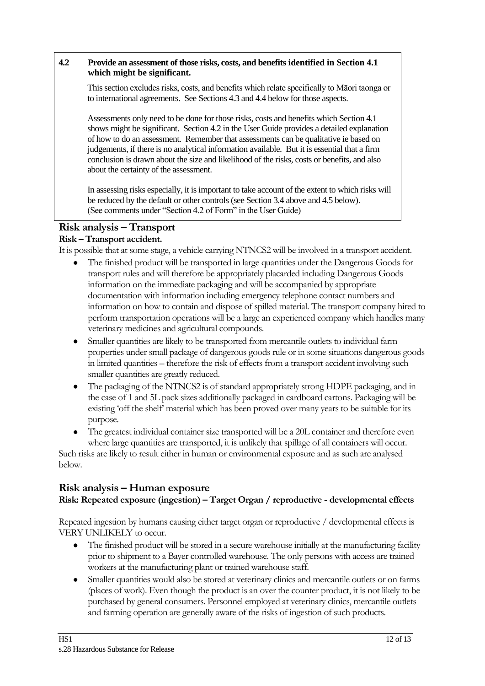# **4.2 Provide an assessment of those risks, costs, and benefits identified in Section 4.1 which might be significant.**

This section excludes risks, costs, and benefits which relate specifically to Māori taonga or to international agreements. See Sections 4.3 and 4.4 below for those aspects.

Assessments only need to be done for those risks, costs and benefits which Section 4.1 shows might be significant. Section 4.2 in the User Guide provides a detailed explanation of how to do an assessment. Remember that assessments can be qualitative ie based on judgements, if there is no analytical information available. But it is essential that a firm conclusion is drawn about the size and likelihood of the risks, costs or benefits, and also about the certainty of the assessment.

In assessing risks especially, it is important to take account of the extent to which risks will be reduced by the default or other controls (see Section 3.4 above and 4.5 below). (See comments under "Section 4.2 of Form" in the User Guide)

# **Risk analysis – Transport Risk – Transport accident.**

It is possible that at some stage, a vehicle carrying NTNCS2 will be involved in a transport accident.

- The finished product will be transported in large quantities under the Dangerous Goods for transport rules and will therefore be appropriately placarded including Dangerous Goods information on the immediate packaging and will be accompanied by appropriate documentation with information including emergency telephone contact numbers and information on how to contain and dispose of spilled material. The transport company hired to perform transportation operations will be a large an experienced company which handles many veterinary medicines and agricultural compounds.
- Smaller quantities are likely to be transported from mercantile outlets to individual farm  $\bullet$ properties under small package of dangerous goods rule or in some situations dangerous goods in limited quantities – therefore the risk of effects from a transport accident involving such smaller quantities are greatly reduced.
- The packaging of the NTNCS2 is of standard appropriately strong HDPE packaging, and in the case of 1 and 5L pack sizes additionally packaged in cardboard cartons. Packaging will be existing 'off the shelf' material which has been proved over many years to be suitable for its purpose.
- The greatest individual container size transported will be a 20L container and therefore even where large quantities are transported, it is unlikely that spillage of all containers will occur.

Such risks are likely to result either in human or environmental exposure and as such are analysed below.

# **Risk analysis – Human exposure**

# **Risk: Repeated exposure (ingestion) – Target Organ / reproductive - developmental effects**

Repeated ingestion by humans causing either target organ or reproductive / developmental effects is VERY UNLIKELY to occur.

- The finished product will be stored in a secure warehouse initially at the manufacturing facility  $\bullet$ prior to shipment to a Bayer controlled warehouse. The only persons with access are trained workers at the manufacturing plant or trained warehouse staff.
- $\bullet$ Smaller quantities would also be stored at veterinary clinics and mercantile outlets or on farms (places of work). Even though the product is an over the counter product, it is not likely to be purchased by general consumers. Personnel employed at veterinary clinics, mercantile outlets and farming operation are generally aware of the risks of ingestion of such products.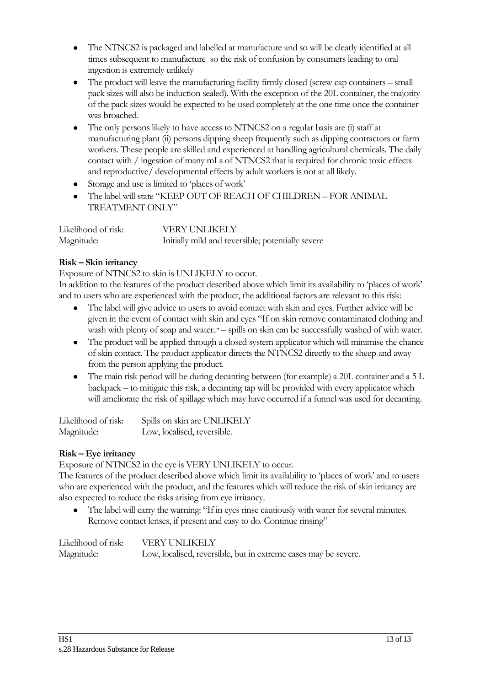- The NTNCS2 is packaged and labelled at manufacture and so will be clearly identified at all times subsequent to manufacture so the risk of confusion by consumers leading to oral ingestion is extremely unlikely
- The product will leave the manufacturing facility firmly closed (screw cap containers small pack sizes will also be induction sealed). With the exception of the 20L container, the majority of the pack sizes would be expected to be used completely at the one time once the container was broached.
- The only persons likely to have access to NTNCS2 on a regular basis are (i) staff at manufacturing plant (ii) persons dipping sheep frequently such as dipping contractors or farm workers. These people are skilled and experienced at handling agricultural chemicals. The daily contact with / ingestion of many mLs of NTNCS2 that is required for chronic toxic effects and reproductive/ developmental effects by adult workers is not at all likely.
- Storage and use is limited to 'places of work'
- The label will state "KEEP OUT OF REACH OF CHILDREN FOR ANIMAL TREATMENT ONLY"

Likelihood of risk: VERY UNLIKELY Magnitude: Initially mild and reversible; potentially severe

# **Risk – Skin irritancy**

Exposure of NTNCS2 to skin is UNLIKELY to occur.

In addition to the features of the product described above which limit its availability to "places of work" and to users who are experienced with the product, the additional factors are relevant to this risk:

- $\bullet$ The label will give advice to users to avoid contact with skin and eyes. Further advice will be given in the event of contact with skin and eyes "If on skin remove contaminated clothing and wash with plenty of soap and water.." – spills on skin can be successfully washed of with water.
- The product will be applied through a closed system applicator which will minimise the chance  $\bullet$ of skin contact. The product applicator directs the NTNCS2 directly to the sheep and away from the person applying the product.
- The main risk period will be during decanting between (for example) a 20L container and a 5 L  $\bullet$ backpack – to mitigate this risk, a decanting tap will be provided with every applicator which will ameliorate the risk of spillage which may have occurred if a funnel was used for decanting.

| Likelihood of risk: | Spills on skin are UNLIKELY |
|---------------------|-----------------------------|
| Magnitude:          | Low, localised, reversible. |

# **Risk – Eye irritancy**

Exposure of NTNCS2 in the eye is VERY UNLIKELY to occur.

The features of the product described above which limit its availability to "places of work" and to users who are experienced with the product, and the features which will reduce the risk of skin irritancy are also expected to reduce the risks arising from eye irritancy.

The label will carry the warning: "If in eyes rinse cautiously with water for several minutes. Remove contact lenses, if present and easy to do. Continue rinsing"

| Likelihood of risk: | VERY UNLIKELY                                                   |
|---------------------|-----------------------------------------------------------------|
| Magnitude:          | Low, localised, reversible, but in extreme cases may be severe. |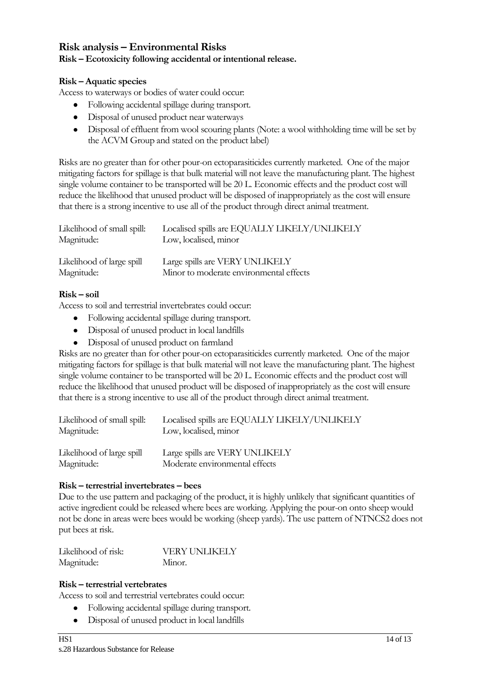# **Risk analysis – Environmental Risks**

# **Risk – Ecotoxicity following accidental or intentional release.**

## **Risk – Aquatic species**

Access to waterways or bodies of water could occur:

- Following accidental spillage during transport.
- Disposal of unused product near waterways
- Disposal of effluent from wool scouring plants (Note: a wool withholding time will be set by the ACVM Group and stated on the product label)

Risks are no greater than for other pour-on ectoparasiticides currently marketed. One of the major mitigating factors for spillage is that bulk material will not leave the manufacturing plant. The highest single volume container to be transported will be 20 L. Economic effects and the product cost will reduce the likelihood that unused product will be disposed of inappropriately as the cost will ensure that there is a strong incentive to use all of the product through direct animal treatment.

| Likelihood of small spill: | Localised spills are EQUALLY LIKELY/UNLIKELY |
|----------------------------|----------------------------------------------|
| Magnitude:                 | Low, localised, minor                        |
| Likelihood of large spill  | Large spills are VERY UNLIKELY               |
| Magnitude:                 | Minor to moderate environmental effects      |

## **Risk – soil**

Access to soil and terrestrial invertebrates could occur:

- Following accidental spillage during transport.
- Disposal of unused product in local landfills
- Disposal of unused product on farmland

Risks are no greater than for other pour-on ectoparasiticides currently marketed. One of the major mitigating factors for spillage is that bulk material will not leave the manufacturing plant. The highest single volume container to be transported will be 20 L. Economic effects and the product cost will reduce the likelihood that unused product will be disposed of inappropriately as the cost will ensure that there is a strong incentive to use all of the product through direct animal treatment.

| Likelihood of small spill: | Localised spills are EQUALLY LIKELY/UNLIKELY |
|----------------------------|----------------------------------------------|
| Magnitude:                 | Low, localised, minor                        |
| Likelihood of large spill  | Large spills are VERY UNLIKELY               |
| Magnitude:                 | Moderate environmental effects               |

#### **Risk – terrestrial invertebrates – bees**

Due to the use pattern and packaging of the product, it is highly unlikely that significant quantities of active ingredient could be released where bees are working. Applying the pour-on onto sheep would not be done in areas were bees would be working (sheep yards). The use pattern of NTNCS2 does not put bees at risk.

| Likelihood of risk: | <b>VERY UNLIKELY</b> |
|---------------------|----------------------|
| Magnitude:          | Minor.               |

## **Risk – terrestrial vertebrates**

Access to soil and terrestrial vertebrates could occur:

- Following accidental spillage during transport.  $\bullet$
- Disposal of unused product in local landfills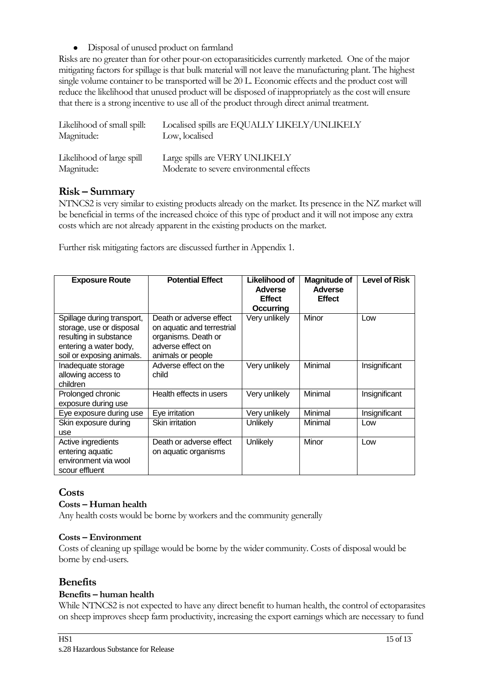Disposal of unused product on farmland

Risks are no greater than for other pour-on ectoparasiticides currently marketed. One of the major mitigating factors for spillage is that bulk material will not leave the manufacturing plant. The highest single volume container to be transported will be 20 L. Economic effects and the product cost will reduce the likelihood that unused product will be disposed of inappropriately as the cost will ensure that there is a strong incentive to use all of the product through direct animal treatment.

| Likelihood of small spill: | Localised spills are EQUALLY LIKELY/UNLIKELY |
|----------------------------|----------------------------------------------|
| Magnitude:                 | Low, localised                               |
| Likelihood of large spill  | Large spills are VERY UNLIKELY               |
| Magnitude:                 | Moderate to severe environmental effects     |

# **Risk – Summary**

NTNCS2 is very similar to existing products already on the market. Its presence in the NZ market will be beneficial in terms of the increased choice of this type of product and it will not impose any extra costs which are not already apparent in the existing products on the market.

Further risk mitigating factors are discussed further in Appendix 1.

| <b>Exposure Route</b>                                                                                                                   | <b>Potential Effect</b>                                                                                                | Likelihood of<br>Adverse<br><b>Effect</b><br>Occurring | Magnitude of<br>Adverse<br><b>Effect</b> | <b>Level of Risk</b> |
|-----------------------------------------------------------------------------------------------------------------------------------------|------------------------------------------------------------------------------------------------------------------------|--------------------------------------------------------|------------------------------------------|----------------------|
| Spillage during transport,<br>storage, use or disposal<br>resulting in substance<br>entering a water body,<br>soil or exposing animals. | Death or adverse effect<br>on aquatic and terrestrial<br>organisms. Death or<br>adverse effect on<br>animals or people | Very unlikely                                          | Minor                                    | Low                  |
| Inadequate storage<br>allowing access to<br>children                                                                                    | Adverse effect on the<br>child                                                                                         | Very unlikely                                          | Minimal                                  | Insignificant        |
| Prolonged chronic<br>exposure during use                                                                                                | Health effects in users                                                                                                | Very unlikely                                          | Minimal                                  | Insignificant        |
| Eye exposure during use                                                                                                                 | Eye irritation                                                                                                         | Very unlikely                                          | Minimal                                  | Insignificant        |
| Skin exposure during<br>use                                                                                                             | Skin irritation                                                                                                        | Unlikely                                               | Minimal                                  | Low                  |
| Active ingredients<br>entering aquatic<br>environment via wool<br>scour effluent                                                        | Death or adverse effect<br>on aquatic organisms                                                                        | Unlikely                                               | Minor                                    | Low                  |

# **Costs**

# **Costs – Human health**

Any health costs would be borne by workers and the community generally

## **Costs – Environment**

Costs of cleaning up spillage would be borne by the wider community. Costs of disposal would be borne by end-users.

# **Benefits**

# **Benefits – human health**

While NTNCS2 is not expected to have any direct benefit to human health, the control of ectoparasites on sheep improves sheep farm productivity, increasing the export earnings which are necessary to fund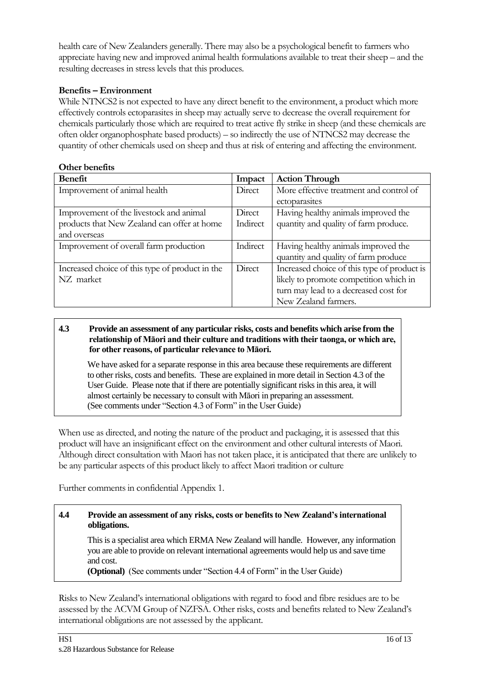health care of New Zealanders generally. There may also be a psychological benefit to farmers who appreciate having new and improved animal health formulations available to treat their sheep – and the resulting decreases in stress levels that this produces.

# **Benefits – Environment**

While NTNCS2 is not expected to have any direct benefit to the environment, a product which more effectively controls ectoparasites in sheep may actually serve to decrease the overall requirement for chemicals particularly those which are required to treat active fly strike in sheep (and these chemicals are often older organophosphate based products) – so indirectly the use of NTNCS2 may decrease the quantity of other chemicals used on sheep and thus at risk of entering and affecting the environment.

# **Other benefits**

| <b>Benefit</b>                                  | Impact   | <b>Action Through</b>                       |
|-------------------------------------------------|----------|---------------------------------------------|
| Improvement of animal health                    | Direct   | More effective treatment and control of     |
|                                                 |          | ectoparasites                               |
| Improvement of the livestock and animal         | Direct   | Having healthy animals improved the         |
| products that New Zealand can offer at home     | Indirect | quantity and quality of farm produce.       |
| and overseas                                    |          |                                             |
| Improvement of overall farm production          | Indirect | Having healthy animals improved the         |
|                                                 |          | quantity and quality of farm produce        |
| Increased choice of this type of product in the | Direct   | Increased choice of this type of product is |
| NZ market                                       |          | likely to promote competition which in      |
|                                                 |          | turn may lead to a decreased cost for       |
|                                                 |          | New Zealand farmers.                        |

#### **4.3 Provide an assessment of any particular risks, costs and benefits which arise from the relationship of Māori and their culture and traditions with their taonga, or which are, for other reasons, of particular relevance to Māori.**

We have asked for a separate response in this area because these requirements are different to other risks, costs and benefits. These are explained in more detail in Section 4.3 of the User Guide. Please note that if there are potentially significant risks in this area, it will almost certainly be necessary to consult with Māori in preparing an assessment. (See comments under "Section 4.3 of Form" in the User Guide)

When use as directed, and noting the nature of the product and packaging, it is assessed that this product will have an insignificant effect on the environment and other cultural interests of Maori. Although direct consultation with Maori has not taken place, it is anticipated that there are unlikely to be any particular aspects of this product likely to affect Maori tradition or culture

Further comments in confidential Appendix 1.

# **4.4 Provide an assessment of any risks, costs or benefits to New Zealand's international obligations.**

This is a specialist area which ERMA New Zealand will handle. However, any information you are able to provide on relevant international agreements would help us and save time and cost.

**(Optional)** (See comments under "Section 4.4 of Form" in the User Guide)

Risks to New Zealand"s international obligations with regard to food and fibre residues are to be assessed by the ACVM Group of NZFSA. Other risks, costs and benefits related to New Zealand"s international obligations are not assessed by the applicant.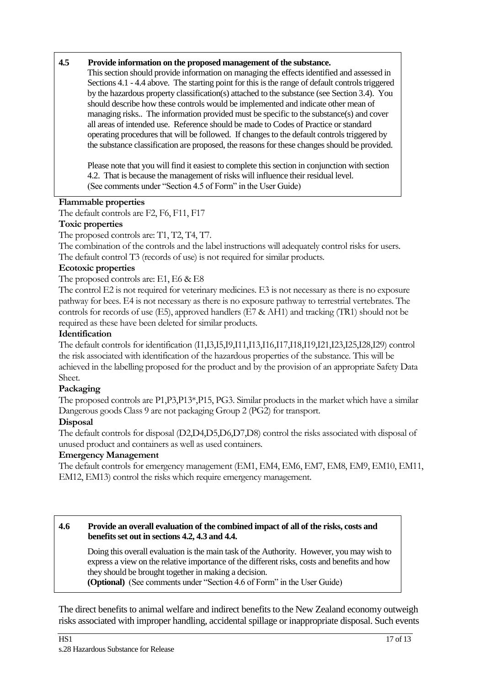# **4.5 Provide information on the proposed management of the substance.**

This section should provide information on managing the effects identified and assessed in Sections 4.1 - 4.4 above. The starting point for this is the range of default controls triggered by the hazardous property classification(s) attached to the substance (see Section 3.4). You should describe how these controls would be implemented and indicate other mean of managing risks.. The information provided must be specific to the substance(s) and cover all areas of intended use. Reference should be made to Codes of Practice or standard operating procedures that will be followed. If changes to the default controls triggered by the substance classification are proposed, the reasons for these changes should be provided.

Please note that you will find it easiest to complete this section in conjunction with section 4.2. That is because the management of risks will influence their residual level. (See comments under "Section 4.5 of Form" in the User Guide)

# **Flammable properties**

The default controls are F2, F6, F11, F17

# **Toxic properties**

The proposed controls are: T1, T2, T4, T7.

The combination of the controls and the label instructions will adequately control risks for users. The default control T3 (records of use) is not required for similar products.

# **Ecotoxic properties**

The proposed controls are: E1, E6 & E8

The control E2 is not required for veterinary medicines. E3 is not necessary as there is no exposure pathway for bees. E4 is not necessary as there is no exposure pathway to terrestrial vertebrates. The controls for records of use (E5), approved handlers (E7 & AH1) and tracking (TR1) should not be required as these have been deleted for similar products.

# **Identification**

The default controls for identification (I1,I3,I5,I9,I11,I13,I16,I17,I18,I19,I21,I23,I25,I28,I29) control the risk associated with identification of the hazardous properties of the substance. This will be achieved in the labelling proposed for the product and by the provision of an appropriate Safety Data Sheet.

# **Packaging**

The proposed controls are P1,P3,P13\*,P15, PG3. Similar products in the market which have a similar Dangerous goods Class 9 are not packaging Group 2 (PG2) for transport.

# **Disposal**

The default controls for disposal (D2,D4,D5,D6,D7,D8) control the risks associated with disposal of unused product and containers as well as used containers.

## **Emergency Management**

The default controls for emergency management (EM1, EM4, EM6, EM7, EM8, EM9, EM10, EM11, EM12, EM13) control the risks which require emergency management.

## **4.6 Provide an overall evaluation of the combined impact of all of the risks, costs and benefits set out in sections 4.2, 4.3 and 4.4.**

Doing this overall evaluation is the main task of the Authority. However, you may wish to express a view on the relative importance of the different risks, costs and benefits and how they should be brought together in making a decision. **(Optional)** (See comments under "Section 4.6 of Form" in the User Guide)

The direct benefits to animal welfare and indirect benefits to the New Zealand economy outweigh risks associated with improper handling, accidental spillage or inappropriate disposal. Such events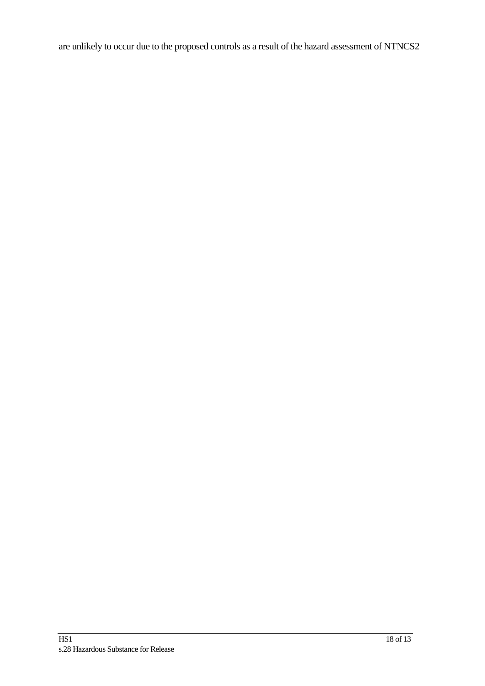are unlikely to occur due to the proposed controls as a result of the hazard assessment of NTNCS2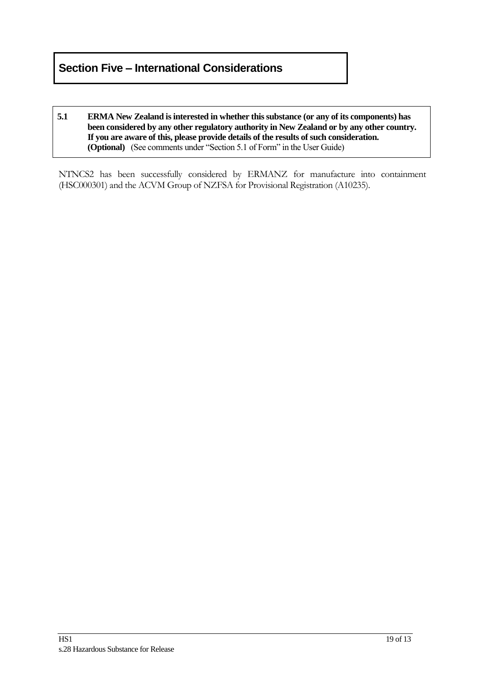# **Section Five – International Considerations**

#### **5.1 ERMA New Zealand is interested in whether this substance (or any of its components) has been considered by any other regulatory authority in New Zealand or by any other country. If you are aware of this, please provide details of the results of such consideration. (Optional)** (See comments under "Section 5.1 of Form" in the User Guide)

NTNCS2 has been successfully considered by ERMANZ for manufacture into containment (HSC000301) and the ACVM Group of NZFSA for Provisional Registration (A10235).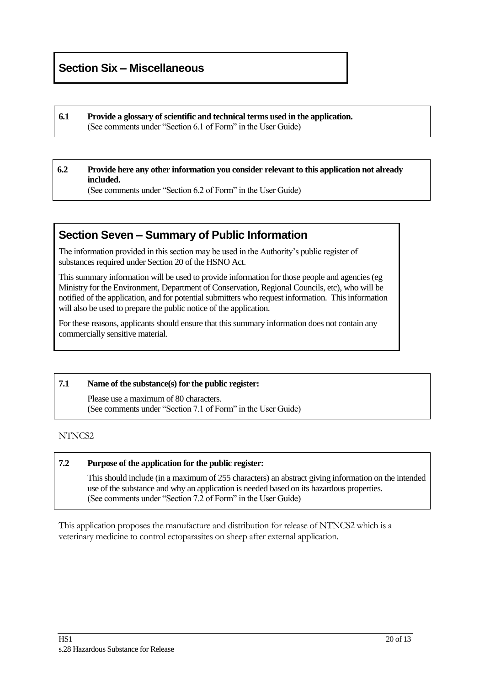**6.1 Provide a glossary of scientific and technical terms used in the application.**  (See comments under "Section 6.1 of Form" in the User Guide)

# **6.2 Provide here any other information you consider relevant to this application not already included.**

(See comments under "Section 6.2 of Form" in the User Guide)

# **Section Seven – Summary of Public Information**

The information provided in this section may be used in the Authority"s public register of substances required under Section 20 of the HSNO Act.

This summary information will be used to provide information for those people and agencies (eg Ministry for the Environment, Department of Conservation, Regional Councils, etc), who will be notified of the application, and for potential submitters who request information. This information will also be used to prepare the public notice of the application.

For these reasons, applicants should ensure that this summary information does not contain any commercially sensitive material.

# **7.1 Name of the substance(s) for the public register:**

Please use a maximum of 80 characters. (See comments under "Section 7.1 of Form" in the User Guide)

NTNCS2

## **7.2 Purpose of the application for the public register:**

This should include (in a maximum of 255 characters) an abstract giving information on the intended use of the substance and why an application is needed based on its hazardous properties. (See comments under "Section 7.2 of Form" in the User Guide)

This application proposes the manufacture and distribution for release of NTNCS2 which is a veterinary medicine to control ectoparasites on sheep after external application.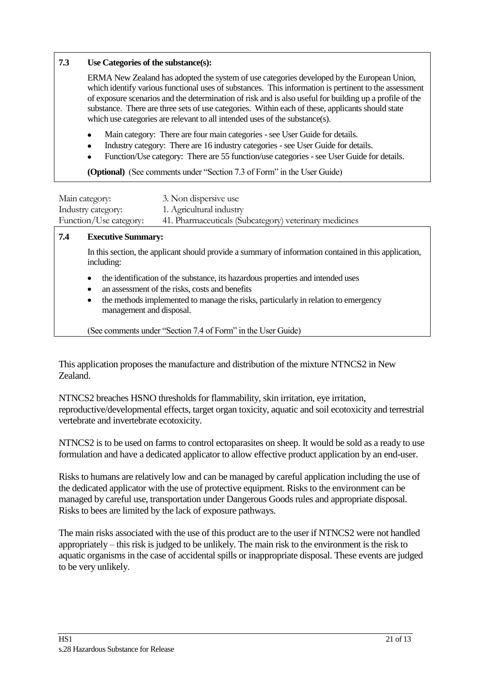# **7.3 Use Categories of the substance(s):**

ERMA New Zealand has adopted the system of use categories developed by the European Union, which identify various functional uses of substances. This information is pertinent to the assessment of exposure scenarios and the determination of risk and is also useful for building up a profile of the substance. There are three sets of use categories. Within each of these, applicants should state which use categories are relevant to all intended uses of the substance(s).

- Main category: There are four main categories see User Guide for details.
- Industry category: There are 16 industry categories see User Guide for details.
- Function/Use category: There are 55 function/use categories see User Guide for details.

**(Optional)** (See comments under "Section 7.3 of Form" in the User Guide)

| Main category:         | 3. Non dispersive use                                  |
|------------------------|--------------------------------------------------------|
| Industry category:     | 1. Agricultural industry                               |
| Function/Use category: | 41. Pharmaceuticals (Subcategory) veterinary medicines |

## **7.4 Executive Summary:**

In this section, the applicant should provide a summary of information contained in this application, including:

- the identification of the substance, its hazardous properties and intended uses  $\bullet$
- an assessment of the risks, costs and benefits
- the methods implemented to manage the risks, particularly in relation to emergency management and disposal.

(See comments under "Section 7.4 of Form" in the User Guide)

This application proposes the manufacture and distribution of the mixture NTNCS2 in New Zealand.

NTNCS2 breaches HSNO thresholds for flammability, skin irritation, eye irritation, reproductive/developmental effects, target organ toxicity, aquatic and soil ecotoxicity and terrestrial vertebrate and invertebrate ecotoxicity.

NTNCS2 is to be used on farms to control ectoparasites on sheep. It would be sold as a ready to use formulation and have a dedicated applicator to allow effective product application by an end-user.

Risks to humans are relatively low and can be managed by careful application including the use of the dedicated applicator with the use of protective equipment. Risks to the environment can be managed by careful use, transportation under Dangerous Goods rules and appropriate disposal. Risks to bees are limited by the lack of exposure pathways.

The main risks associated with the use of this product are to the user if NTNCS2 were not handled appropriately – this risk is judged to be unlikely. The main risk to the environment is the risk to aquatic organisms in the case of accidental spills or inappropriate disposal. These events are judged to be very unlikely.